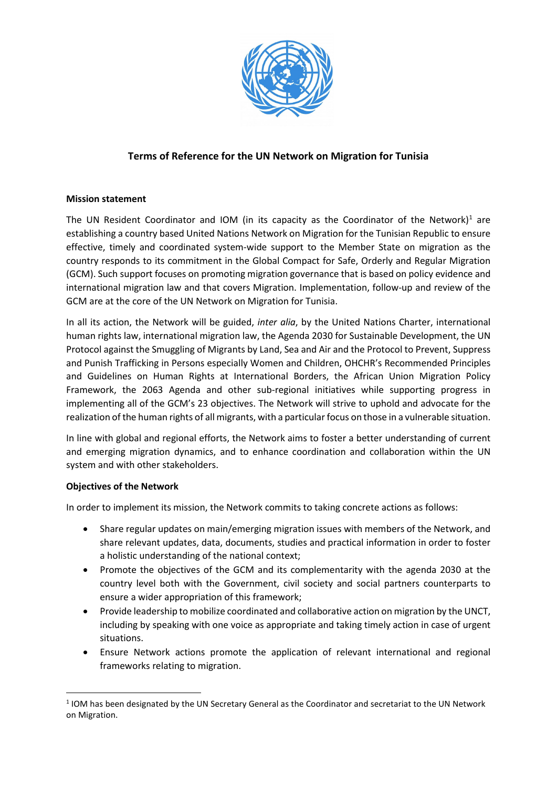

# **Terms of Reference for the UN Network on Migration for Tunisia**

## **Mission statement**

The UN Resident Coordinator and IOM (in its capacity as the Coordinator of the Network)<sup>[1](#page-0-0)</sup> are establishing a country based United Nations Network on Migration for the Tunisian Republic to ensure effective, timely and coordinated system-wide support to the Member State on migration as the country responds to its commitment in the Global Compact for Safe, Orderly and Regular Migration (GCM). Such support focuses on promoting migration governance that is based on policy evidence and international migration law and that covers Migration. Implementation, follow-up and review of the GCM are at the core of the UN Network on Migration for Tunisia.

In all its action, the Network will be guided, *inter alia*, by the United Nations Charter, international human rights law, international migration law, the Agenda 2030 for Sustainable Development, the UN Protocol against the Smuggling of Migrants by Land, Sea and Air and the Protocol to Prevent, Suppress and Punish Trafficking in Persons especially Women and Children, OHCHR's Recommended Principles and Guidelines on Human Rights at International Borders, the African Union Migration Policy Framework, the 2063 Agenda and other sub-regional initiatives while supporting progress in implementing all of the GCM's 23 objectives. The Network will strive to uphold and advocate for the realization of the human rights of all migrants, with a particular focus on those in a vulnerable situation.

In line with global and regional efforts, the Network aims to foster a better understanding of current and emerging migration dynamics, and to enhance coordination and collaboration within the UN system and with other stakeholders.

#### **Objectives of the Network**

In order to implement its mission, the Network commits to taking concrete actions as follows:

- Share regular updates on main/emerging migration issues with members of the Network, and share relevant updates, data, documents, studies and practical information in order to foster a holistic understanding of the national context;
- Promote the objectives of the GCM and its complementarity with the agenda 2030 at the country level both with the Government, civil society and social partners counterparts to ensure a wider appropriation of this framework;
- Provide leadership to mobilize coordinated and collaborative action on migration by the UNCT, including by speaking with one voice as appropriate and taking timely action in case of urgent situations.
- Ensure Network actions promote the application of relevant international and regional frameworks relating to migration.

<span id="page-0-0"></span><sup>&</sup>lt;sup>1</sup> IOM has been designated by the UN Secretary General as the Coordinator and secretariat to the UN Network on Migration.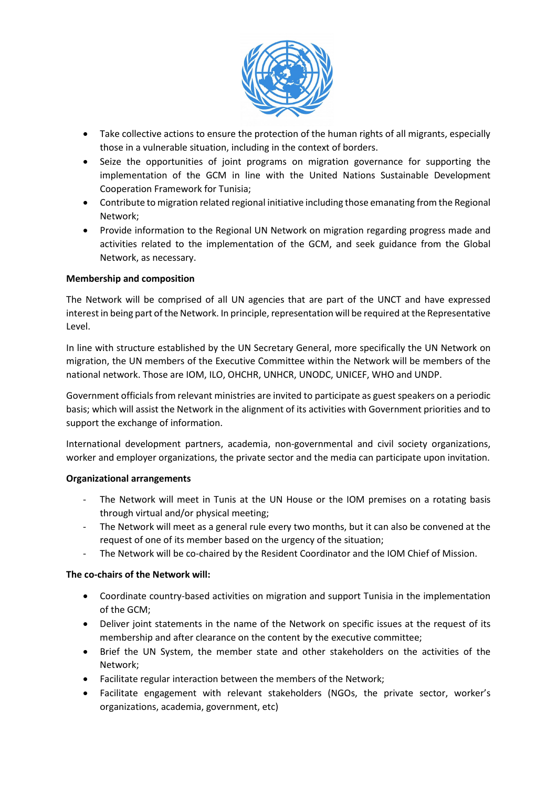

- Take collective actions to ensure the protection of the human rights of all migrants, especially those in a vulnerable situation, including in the context of borders.
- Seize the opportunities of joint programs on migration governance for supporting the implementation of the GCM in line with the United Nations Sustainable Development Cooperation Framework for Tunisia;
- Contribute to migration related regional initiative including those emanating from the Regional Network;
- Provide information to the Regional UN Network on migration regarding progress made and activities related to the implementation of the GCM, and seek guidance from the Global Network, as necessary.

## **Membership and composition**

The Network will be comprised of all UN agencies that are part of the UNCT and have expressed interest in being part of the Network. In principle, representation will be required at the Representative Level.

In line with structure established by the UN Secretary General, more specifically the UN Network on migration, the UN members of the Executive Committee within the Network will be members of the national network. Those are IOM, ILO, OHCHR, UNHCR, UNODC, UNICEF, WHO and UNDP.

Government officials from relevant ministries are invited to participate as guest speakers on a periodic basis; which will assist the Network in the alignment of its activities with Government priorities and to support the exchange of information.

International development partners, academia, non-governmental and civil society organizations, worker and employer organizations, the private sector and the media can participate upon invitation.

#### **Organizational arrangements**

- The Network will meet in Tunis at the UN House or the IOM premises on a rotating basis through virtual and/or physical meeting;
- The Network will meet as a general rule every two months, but it can also be convened at the request of one of its member based on the urgency of the situation;
- The Network will be co-chaired by the Resident Coordinator and the IOM Chief of Mission.

## **The co-chairs of the Network will:**

- Coordinate country-based activities on migration and support Tunisia in the implementation of the GCM;
- Deliver joint statements in the name of the Network on specific issues at the request of its membership and after clearance on the content by the executive committee;
- Brief the UN System, the member state and other stakeholders on the activities of the Network;
- Facilitate regular interaction between the members of the Network;
- Facilitate engagement with relevant stakeholders (NGOs, the private sector, worker's organizations, academia, government, etc)